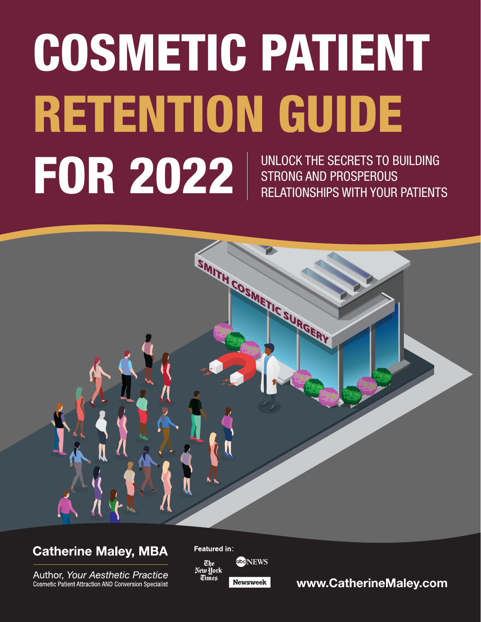# COSMETIC PATIENT RETENTION GUIDE FOR 2022 | UNLOCK THE SECRETS TO BUILDING<br>RELATIONSHIPS WITH YOUR PATIENTS STRONG AND PROSPEROUS RELATIONSHIPS WITH YOUR PATIENTS



# **Catherine Maley, MBA**

Author, Your Aesthetic Practice **Cosmetic Patient Attraction AND Conversion Specialist** 



[www.CatherineMaley.com](http://www.CatherineMaley.com)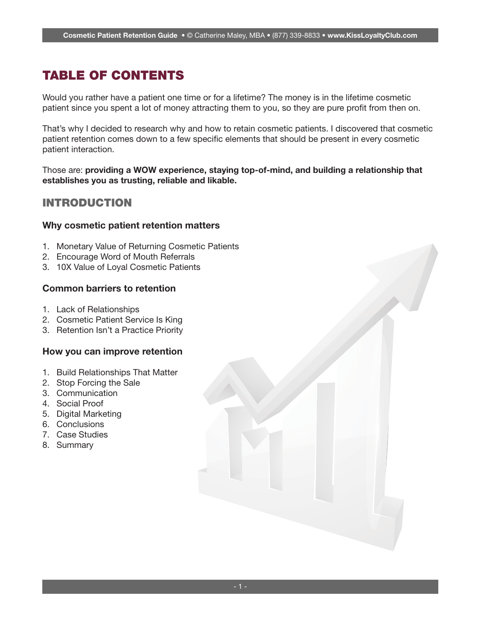# TABLE OF CONTENTS

Would you rather have a patient one time or for a lifetime? The money is in the lifetime cosmetic patient since you spent a lot of money attracting them to you, so they are pure profit from then on.

That's why I decided to research why and how to retain cosmetic patients. I discovered that cosmetic patient retention comes down to a few specific elements that should be present in every cosmetic patient interaction.

Those are: providing a WOW experience, staying top-of-mind, and building a relationship that establishes you as trusting, reliable and likable.

#### INTRODUCTION

#### Why cosmetic patient retention matters

- 1. Monetary Value of Returning Cosmetic Patients
- 2. Encourage Word of Mouth Referrals
- 3. 10X Value of Loyal Cosmetic Patients

#### Common barriers to retention

- 1. Lack of Relationships
- 2. Cosmetic Patient Service Is King
- 3. Retention Isn't a Practice Priority

#### How you can improve retention

- 1. Build Relationships That Matter
- 2. Stop Forcing the Sale
- 3. Communication
- 4. Social Proof
- 5. Digital Marketing
- 6. Conclusions
- 7. Case Studies
- 8. Summary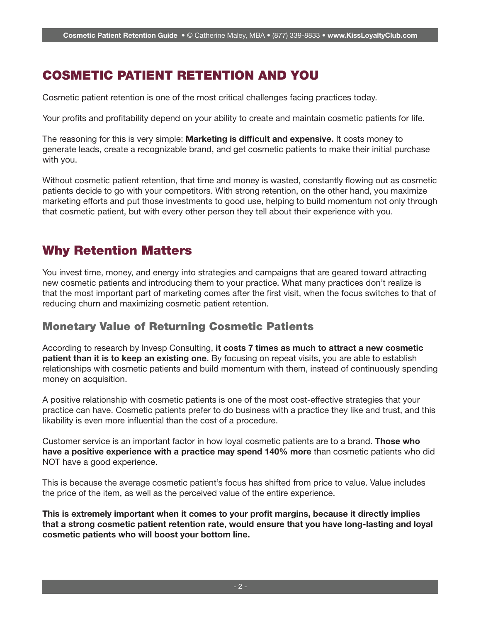# COSMETIC PATIENT RETENTION AND YOU

Cosmetic patient retention is one of the most critical challenges facing practices today.

Your profits and profitability depend on your ability to create and maintain cosmetic patients for life.

The reasoning for this is very simple: **Marketing is difficult and expensive.** It costs money to generate leads, create a recognizable brand, and get cosmetic patients to make their initial purchase with you.

Without cosmetic patient retention, that time and money is wasted, constantly flowing out as cosmetic patients decide to go with your competitors. With strong retention, on the other hand, you maximize marketing efforts and put those investments to good use, helping to build momentum not only through that cosmetic patient, but with every other person they tell about their experience with you.

## Why Retention Matters

You invest time, money, and energy into strategies and campaigns that are geared toward attracting new cosmetic patients and introducing them to your practice. What many practices don't realize is that the most important part of marketing comes after the first visit, when the focus switches to that of reducing churn and maximizing cosmetic patient retention.

## Monetary Value of Returning Cosmetic Patients

According to research by Invesp Consulting, it costs 7 times as much to attract a new cosmetic patient than it is to keep an existing one. By focusing on repeat visits, you are able to establish relationships with cosmetic patients and build momentum with them, instead of continuously spending money on acquisition.

A positive relationship with cosmetic patients is one of the most cost-effective strategies that your practice can have. Cosmetic patients prefer to do business with a practice they like and trust, and this likability is even more influential than the cost of a procedure.

Customer service is an important factor in how loyal cosmetic patients are to a brand. **Those who** have a positive experience with a practice may spend 140% more than cosmetic patients who did NOT have a good experience.

This is because the average cosmetic patient's focus has shifted from price to value. Value includes the price of the item, as well as the perceived value of the entire experience.

This is extremely important when it comes to your profit margins, because it directly implies that a strong cosmetic patient retention rate, would ensure that you have long-lasting and loyal cosmetic patients who will boost your bottom line.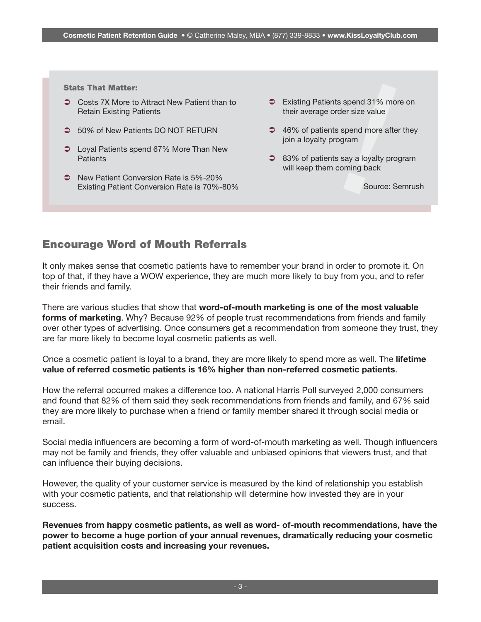Stats That Matter:

- Retain Existing Patients
- 50% of New Patients DO NOT RETURN
- **◯** Loyal Patients spend 67% More Than New **Patients**
- Stats That Matter:<br>
3 Costs 7X More to Attract New Patient than to<br>
Retain Existing Patients<br>
5 60% of New Patients<br>
5 60 NoT RETURN<br>
5 60% of New Patients<br>
5 60 NoT RETURN<br>
5 46% of patients spend more after<br>
ioin a loya S New Patient Conversion Rate is 5%-20% Existing Patient Conversion Rate is 70%-80%
	- **■** Existing Patients spend 31% more on their average order size value
	- **→** 46% of patients spend more after they join a loyalty program
	- **83% of patients say a loyalty program** will keep them coming back

Source: Semrush

#### Encourage Word of Mouth Referrals

It only makes sense that cosmetic patients have to remember your brand in order to promote it. On top of that, if they have a WOW experience, they are much more likely to buy from you, and to refer their friends and family.

There are various studies that show that word-of-mouth marketing is one of the most valuable forms of marketing. Why? Because 92% of people trust recommendations from friends and family over other types of advertising. Once consumers get a recommendation from someone they trust, they are far more likely to become loyal cosmetic patients as well.

Once a cosmetic patient is loyal to a brand, they are more likely to spend more as well. The lifetime value of referred cosmetic patients is 16% higher than non-referred cosmetic patients.

How the referral occurred makes a difference too. A national Harris Poll surveyed 2,000 consumers and found that 82% of them said they seek recommendations from friends and family, and 67% said they are more likely to purchase when a friend or family member shared it through social media or email.

Social media influencers are becoming a form of word-of-mouth marketing as well. Though influencers may not be family and friends, they offer valuable and unbiased opinions that viewers trust, and that can influence their buying decisions.

However, the quality of your customer service is measured by the kind of relationship you establish with your cosmetic patients, and that relationship will determine how invested they are in your success.

Revenues from happy cosmetic patients, as well as word- of-mouth recommendations, have the power to become a huge portion of your annual revenues, dramatically reducing your cosmetic patient acquisition costs and increasing your revenues.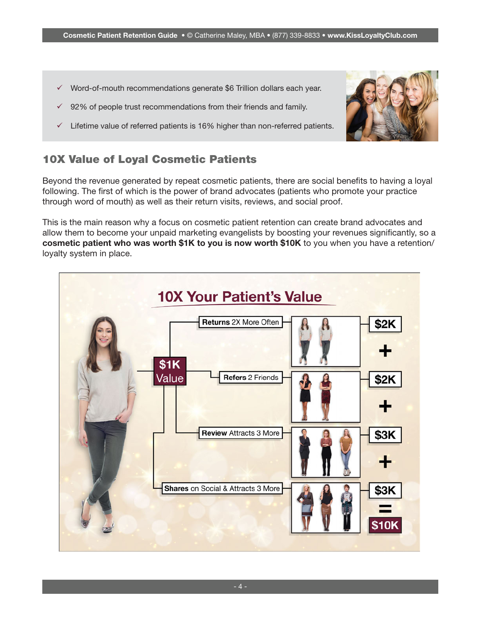- $\checkmark$  Word-of-mouth recommendations generate \$6 Trillion dollars each year.
- $\checkmark$  92% of people trust recommendations from their friends and family.
- $\checkmark$  Lifetime value of referred patients is 16% higher than non-referred patients.



Beyond the revenue generated by repeat cosmetic patients, there are social benefits to having a loyal following. The first of which is the power of brand advocates (patients who promote your practice through word of mouth) as well as their return visits, reviews, and social proof.

This is the main reason why a focus on cosmetic patient retention can create brand advocates and allow them to become your unpaid marketing evangelists by boosting your revenues significantly, so a cosmetic patient who was worth \$1K to you is now worth \$10K to you when you have a retention/ loyalty system in place.

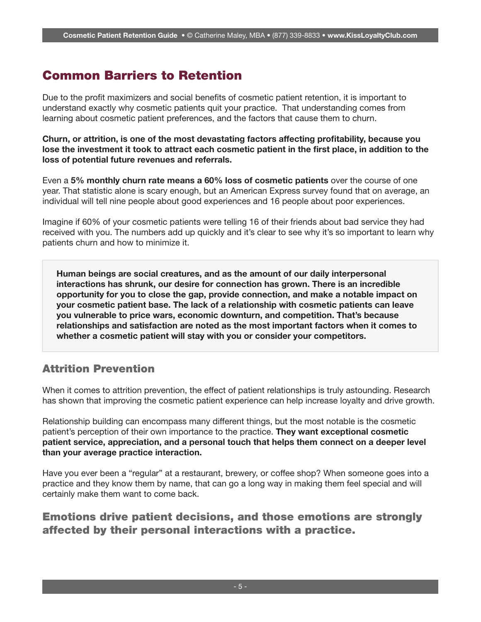## Common Barriers to Retention

Due to the profit maximizers and social benefits of cosmetic patient retention, it is important to understand exactly why cosmetic patients quit your practice. That understanding comes from learning about cosmetic patient preferences, and the factors that cause them to churn.

Churn, or attrition, is one of the most devastating factors affecting profitability, because you lose the investment it took to attract each cosmetic patient in the first place, in addition to the loss of potential future revenues and referrals.

Even a 5% monthly churn rate means a 60% loss of cosmetic patients over the course of one year. That statistic alone is scary enough, but an American Express survey found that on average, an individual will tell nine people about good experiences and 16 people about poor experiences.

Imagine if 60% of your cosmetic patients were telling 16 of their friends about bad service they had received with you. The numbers add up quickly and it's clear to see why it's so important to learn why patients churn and how to minimize it.

Human beings are social creatures, and as the amount of our daily interpersonal interactions has shrunk, our desire for connection has grown. There is an incredible opportunity for you to close the gap, provide connection, and make a notable impact on your cosmetic patient base. The lack of a relationship with cosmetic patients can leave you vulnerable to price wars, economic downturn, and competition. That's because relationships and satisfaction are noted as the most important factors when it comes to whether a cosmetic patient will stay with you or consider your competitors.

## Attrition Prevention

When it comes to attrition prevention, the effect of patient relationships is truly astounding. Research has shown that improving the cosmetic patient experience can help increase loyalty and drive growth.

Relationship building can encompass many different things, but the most notable is the cosmetic patient's perception of their own importance to the practice. They want exceptional cosmetic patient service, appreciation, and a personal touch that helps them connect on a deeper level than your average practice interaction.

Have you ever been a "regular" at a restaurant, brewery, or coffee shop? When someone goes into a practice and they know them by name, that can go a long way in making them feel special and will certainly make them want to come back.

## Emotions drive patient decisions, and those emotions are strongly affected by their personal interactions with a practice.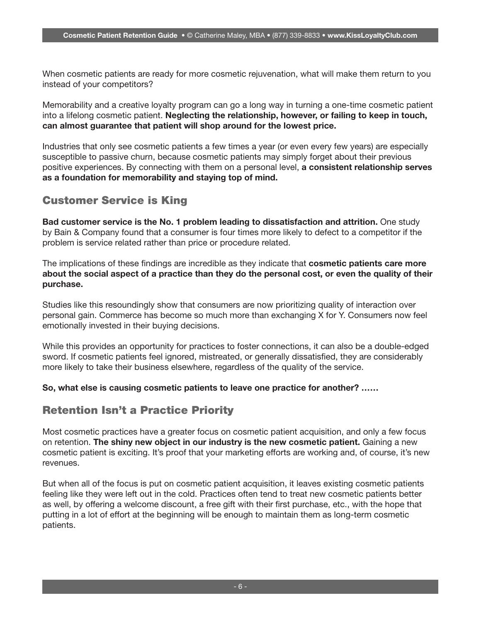When cosmetic patients are ready for more cosmetic rejuvenation, what will make them return to you instead of your competitors?

Memorability and a creative loyalty program can go a long way in turning a one-time cosmetic patient into a lifelong cosmetic patient. Neglecting the relationship, however, or failing to keep in touch, can almost guarantee that patient will shop around for the lowest price.

Industries that only see cosmetic patients a few times a year (or even every few years) are especially susceptible to passive churn, because cosmetic patients may simply forget about their previous positive experiences. By connecting with them on a personal level, a consistent relationship serves as a foundation for memorability and staying top of mind.

## Customer Service is King

Bad customer service is the No. 1 problem leading to dissatisfaction and attrition. One study by Bain & Company found that a consumer is four times more likely to defect to a competitor if the problem is service related rather than price or procedure related.

The implications of these findings are incredible as they indicate that cosmetic patients care more about the social aspect of a practice than they do the personal cost, or even the quality of their purchase.

Studies like this resoundingly show that consumers are now prioritizing quality of interaction over personal gain. Commerce has become so much more than exchanging X for Y. Consumers now feel emotionally invested in their buying decisions.

While this provides an opportunity for practices to foster connections, it can also be a double-edged sword. If cosmetic patients feel ignored, mistreated, or generally dissatisfied, they are considerably more likely to take their business elsewhere, regardless of the quality of the service.

So, what else is causing cosmetic patients to leave one practice for another? ……

## Retention Isn't a Practice Priority

Most cosmetic practices have a greater focus on cosmetic patient acquisition, and only a few focus on retention. The shiny new object in our industry is the new cosmetic patient. Gaining a new cosmetic patient is exciting. It's proof that your marketing efforts are working and, of course, it's new revenues.

But when all of the focus is put on cosmetic patient acquisition, it leaves existing cosmetic patients feeling like they were left out in the cold. Practices often tend to treat new cosmetic patients better as well, by offering a welcome discount, a free gift with their first purchase, etc., with the hope that putting in a lot of effort at the beginning will be enough to maintain them as long-term cosmetic patients.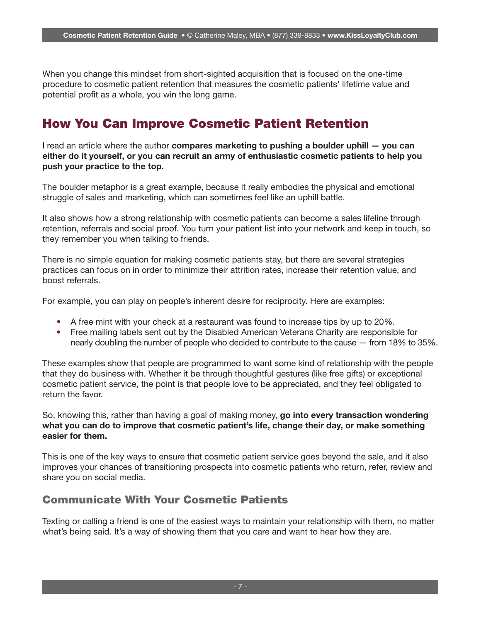When you change this mindset from short-sighted acquisition that is focused on the one-time procedure to cosmetic patient retention that measures the cosmetic patients' lifetime value and potential profit as a whole, you win the long game.

## How You Can Improve Cosmetic Patient Retention

I read an article where the author compares marketing to pushing a boulder uphill – you can either do it yourself, or you can recruit an army of enthusiastic cosmetic patients to help you push your practice to the top.

The boulder metaphor is a great example, because it really embodies the physical and emotional struggle of sales and marketing, which can sometimes feel like an uphill battle.

It also shows how a strong relationship with cosmetic patients can become a sales lifeline through retention, referrals and social proof. You turn your patient list into your network and keep in touch, so they remember you when talking to friends.

There is no simple equation for making cosmetic patients stay, but there are several strategies practices can focus on in order to minimize their attrition rates, increase their retention value, and boost referrals.

For example, you can play on people's inherent desire for reciprocity. Here are examples:

- A free mint with your check at a restaurant was found to increase tips by up to 20%.
- Free mailing labels sent out by the Disabled American Veterans Charity are responsible for nearly doubling the number of people who decided to contribute to the cause — from 18% to 35%.

These examples show that people are programmed to want some kind of relationship with the people that they do business with. Whether it be through thoughtful gestures (like free gifts) or exceptional cosmetic patient service, the point is that people love to be appreciated, and they feel obligated to return the favor.

So, knowing this, rather than having a goal of making money, go into every transaction wondering what you can do to improve that cosmetic patient's life, change their day, or make something easier for them.

This is one of the key ways to ensure that cosmetic patient service goes beyond the sale, and it also improves your chances of transitioning prospects into cosmetic patients who return, refer, review and share you on social media.

#### Communicate With Your Cosmetic Patients

Texting or calling a friend is one of the easiest ways to maintain your relationship with them, no matter what's being said. It's a way of showing them that you care and want to hear how they are.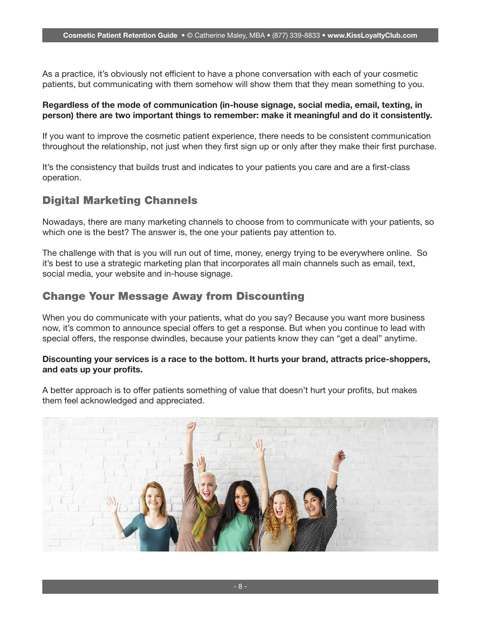As a practice, it's obviously not efficient to have a phone conversation with each of your cosmetic patients, but communicating with them somehow will show them that they mean something to you.

#### Regardless of the mode of communication (in-house signage, social media, email, texting, in person) there are two important things to remember: make it meaningful and do it consistently.

If you want to improve the cosmetic patient experience, there needs to be consistent communication throughout the relationship, not just when they first sign up or only after they make their first purchase.

It's the consistency that builds trust and indicates to your patients you care and are a first-class operation.

## Digital Marketing Channels

Nowadays, there are many marketing channels to choose from to communicate with your patients, so which one is the best? The answer is, the one your patients pay attention to.

The challenge with that is you will run out of time, money, energy trying to be everywhere online. So it's best to use a strategic marketing plan that incorporates all main channels such as email, text, social media, your website and in-house signage.

#### Change Your Message Away from Discounting

When you do communicate with your patients, what do you say? Because you want more business now, it's common to announce special offers to get a response. But when you continue to lead with special offers, the response dwindles, because your patients know they can "get a deal" anytime.

#### Discounting your services is a race to the bottom. It hurts your brand, attracts price-shoppers, and eats up your profits.

A better approach is to offer patients something of value that doesn't hurt your profits, but makes them feel acknowledged and appreciated.

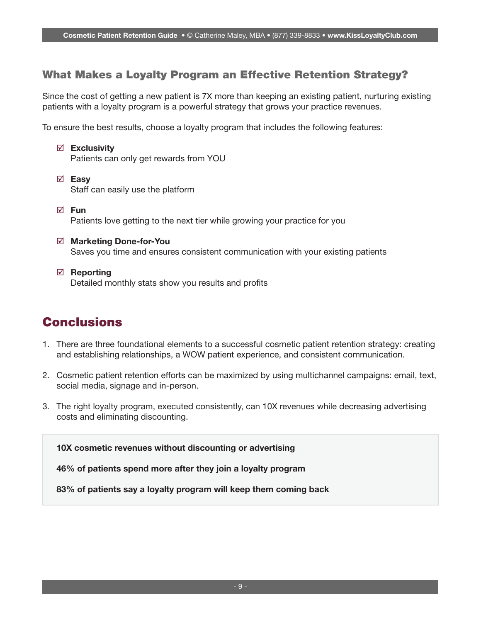## What Makes a Loyalty Program an Effective Retention Strategy?

Since the cost of getting a new patient is 7X more than keeping an existing patient, nurturing existing patients with a loyalty program is a powerful strategy that grows your practice revenues.

To ensure the best results, choose a loyalty program that includes the following features:

- $\boxtimes$  Exclusivity Patients can only get rewards from YOU
- **⊠** Easy Staff can easily use the platform
- $\nabla$  Fun Patients love getting to the next tier while growing your practice for you
- Marketing Done-for-You Saves you time and ensures consistent communication with your existing patients
- $\boxtimes$  Reporting Detailed monthly stats show you results and profits

## Conclusions

- 1. There are three foundational elements to a successful cosmetic patient retention strategy: creating and establishing relationships, a WOW patient experience, and consistent communication.
- 2. Cosmetic patient retention efforts can be maximized by using multichannel campaigns: email, text, social media, signage and in-person.
- 3. The right loyalty program, executed consistently, can 10X revenues while decreasing advertising costs and eliminating discounting.

10X cosmetic revenues without discounting or advertising

46% of patients spend more after they join a loyalty program

83% of patients say a loyalty program will keep them coming back